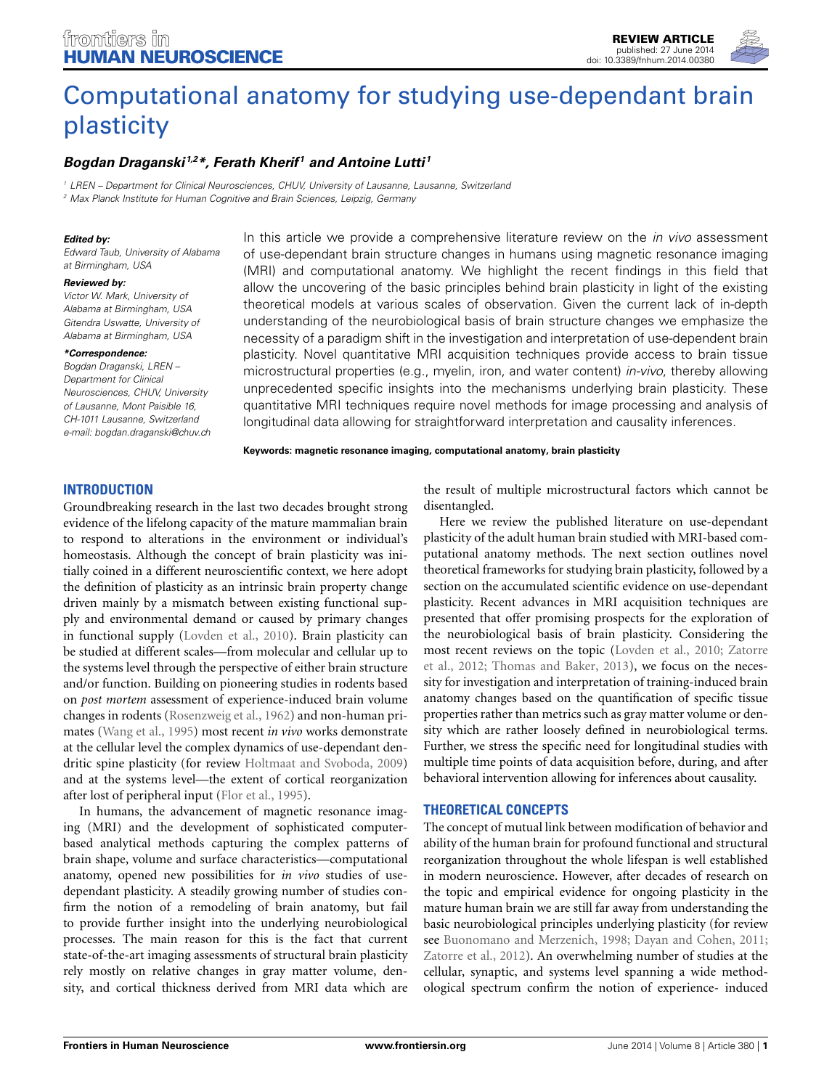

# [Computational anatomy for studying use-dependant brain](http://www.frontiersin.org/journal/10.3389/fnhum.2014.00380/abstract) plasticity

# *[Bogdan Draganski](http://community.frontiersin.org/people/u/12824) 1,2\*, [Ferath Kherif](http://community.frontiersin.org/people/u/100815) <sup>1</sup> and [Antoine Lutti](http://community.frontiersin.org/people/u/86374) <sup>1</sup>*

*<sup>1</sup> LREN – Department for Clinical Neurosciences, CHUV, University of Lausanne, Lausanne, Switzerland <sup>2</sup> Max Planck Institute for Human Cognitive and Brain Sciences, Leipzig, Germany*

#### *Edited by:*

*Edward Taub, University of Alabama at Birmingham, USA*

#### *Reviewed by:*

*Victor W. Mark, University of Alabama at Birmingham, USA Gitendra Uswatte, University of Alabama at Birmingham, USA*

#### *\*Correspondence:*

*Bogdan Draganski, LREN – Department for Clinical Neurosciences, CHUV, University CH-1011 Lausanne, Switzerland e-mail: [bogdan.draganski@chuv.ch](mailto:bogdan.draganski@chuv.ch) of Lausanne, Mont Paisible 16,*

In this article we provide a comprehensive literature review on the *in vivo* assessment of use-dependant brain structure changes in humans using magnetic resonance imaging (MRI) and computational anatomy. We highlight the recent findings in this field that allow the uncovering of the basic principles behind brain plasticity in light of the existing theoretical models at various scales of observation. Given the current lack of in-depth understanding of the neurobiological basis of brain structure changes we emphasize the necessity of a paradigm shift in the investigation and interpretation of use-dependent brain plasticity. Novel quantitative MRI acquisition techniques provide access to brain tissue microstructural properties (e.g., myelin, iron, and water content) *in-vivo*, thereby allowing unprecedented specific insights into the mechanisms underlying brain plasticity. These quantitative MRI techniques require novel methods for image processing and analysis of longitudinal data allowing for straightforward interpretation and causality inferences.

**Keywords: magnetic resonance imaging, computational anatomy, brain plasticity**

# **INTRODUCTION**

Groundbreaking research in the last two decades brought strong evidence of the lifelong capacity of the mature mammalian brain to respond to alterations in the environment or individual's homeostasis. Although the concept of brain plasticity was initially coined in a different neuroscientific context, we here adopt the definition of plasticity as an intrinsic brain property change driven mainly by a mismatch between existing functional supply and environmental demand or caused by primary changes in functional supply [\(Lovden et al., 2010\)](#page-6-0). Brain plasticity can be studied at different scales—from molecular and cellular up to the systems level through the perspective of either brain structure and/or function. Building on pioneering studies in rodents based on *post mortem* assessment of experience-induced brain volume changes in rodents [\(Rosenzweig et al.](#page-6-1), [1962\)](#page-6-1) and non-human primates [\(Wang et al., 1995](#page-6-2)) most recent *in vivo* works demonstrate at the cellular level the complex dynamics of use-dependant dendritic spine plasticity (for review [Holtmaat and Svoboda, 2009](#page-5-0)) and at the systems level—the extent of cortical reorganization after lost of peripheral input [\(Flor et al.](#page-5-1), [1995\)](#page-5-1).

In humans, the advancement of magnetic resonance imaging (MRI) and the development of sophisticated computerbased analytical methods capturing the complex patterns of brain shape, volume and surface characteristics—computational anatomy, opened new possibilities for *in vivo* studies of usedependant plasticity. A steadily growing number of studies confirm the notion of a remodeling of brain anatomy, but fail to provide further insight into the underlying neurobiological processes. The main reason for this is the fact that current state-of-the-art imaging assessments of structural brain plasticity rely mostly on relative changes in gray matter volume, density, and cortical thickness derived from MRI data which are

the result of multiple microstructural factors which cannot be disentangled.

Here we review the published literature on use-dependant plasticity of the adult human brain studied with MRI-based computational anatomy methods. The next section outlines novel theoretical frameworks for studying brain plasticity, followed by a section on the accumulated scientific evidence on use-dependant plasticity. Recent advances in MRI acquisition techniques are presented that offer promising prospects for the exploration of the neurobiological basis of brain plasticity. Considering the mos[t recent reviews on the topic](#page-6-3) [\(Lovden et al.](#page-6-0)[,](#page-6-3) [2010](#page-6-0)[;](#page-6-3) Zatorre et al., [2012](#page-6-3); [Thomas and Baker](#page-6-4), [2013](#page-6-4)), we focus on the necessity for investigation and interpretation of training-induced brain anatomy changes based on the quantification of specific tissue properties rather than metrics such as gray matter volume or density which are rather loosely defined in neurobiological terms. Further, we stress the specific need for longitudinal studies with multiple time points of data acquisition before, during, and after behavioral intervention allowing for inferences about causality.

## **THEORETICAL CONCEPTS**

The concept of mutual link between modification of behavior and ability of the human brain for profound functional and structural reorganization throughout the whole lifespan is well established in modern neuroscience. However, after decades of research on the topic and empirical evidence for ongoing plasticity in the mature human brain we are still far away from understanding the basic neurobiological principles underlying plasticity (for review see [Buonomano and Merzenich](#page-5-2), [1998;](#page-5-2) [Dayan and Cohen](#page-5-3), [2011;](#page-5-3) [Zatorre et al., 2012](#page-6-3)). An overwhelming number of studies at the cellular, synaptic, and systems level spanning a wide methodological spectrum confirm the notion of experience- induced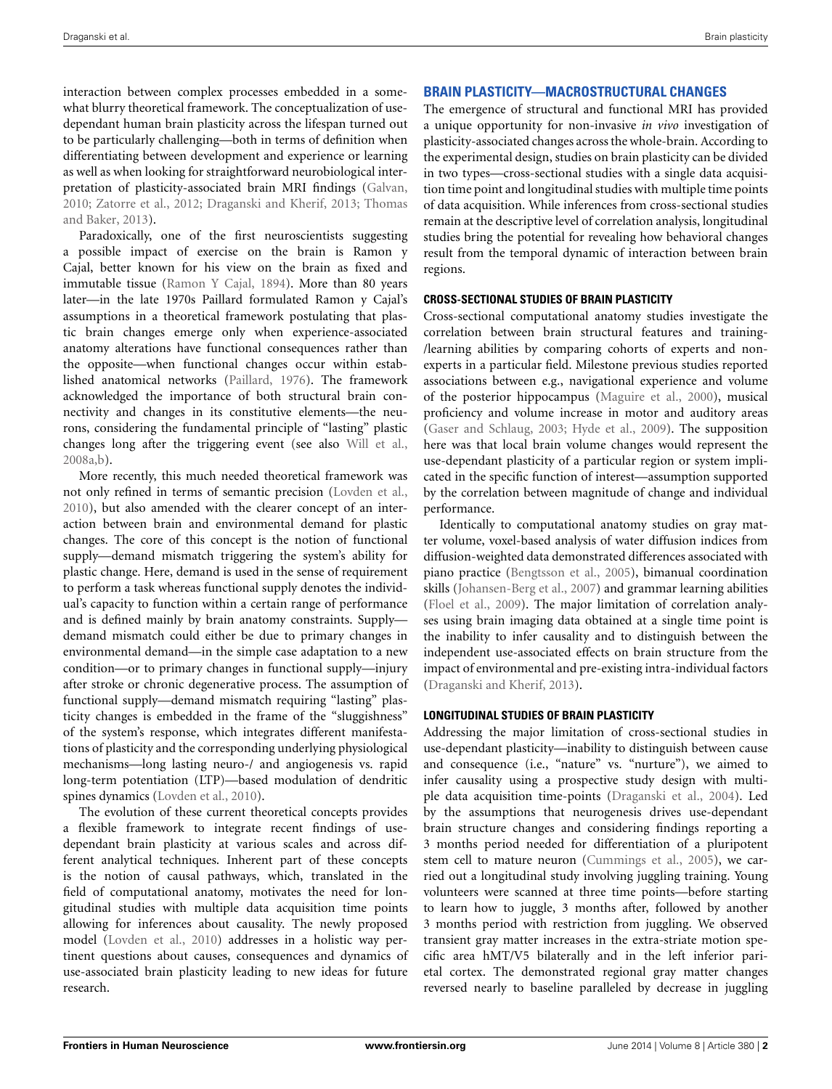interaction between complex processes embedded in a somewhat blurry theoretical framework. The conceptualization of usedependant human brain plasticity across the lifespan turned out to be particularly challenging—both in terms of definition when differentiating between development and experience or learning as well as when looking for straightforward neurobiological interpretation of plasticity-associated brain MRI findings [\(Galvan](#page-5-4), [2010](#page-5-4); [Zatorre et al.](#page-6-3)[,](#page-6-4) [2012](#page-6-3)[;](#page-6-4) [Draganski and Kherif](#page-5-5)[,](#page-6-4) [2013](#page-5-5)[;](#page-6-4) Thomas and Baker, [2013](#page-6-4)).

Paradoxically, one of the first neuroscientists suggesting a possible impact of exercise on the brain is Ramon y Cajal, better known for his view on the brain as fixed and immutable tissue [\(Ramon Y Cajal](#page-6-5), [1894](#page-6-5)). More than 80 years later—in the late 1970s Paillard formulated Ramon y Cajal's assumptions in a theoretical framework postulating that plastic brain changes emerge only when experience-associated anatomy alterations have functional consequences rather than the opposite—when functional changes occur within established anatomical networks [\(Paillard, 1976\)](#page-6-6). The framework acknowledged the importance of both structural brain connectivity and changes in its constitutive elements—the neurons, considering the fundamental principle of "lasting" plastic changes long after the triggering event (see also [Will et al.](#page-6-7), [2008a](#page-6-7)[,b\)](#page-6-8).

More recently, this much needed theoretical framework was not only refined in terms of semantic precision [\(Lovden et al.](#page-6-0), [2010](#page-6-0)), but also amended with the clearer concept of an interaction between brain and environmental demand for plastic changes. The core of this concept is the notion of functional supply—demand mismatch triggering the system's ability for plastic change. Here, demand is used in the sense of requirement to perform a task whereas functional supply denotes the individual's capacity to function within a certain range of performance and is defined mainly by brain anatomy constraints. Supply demand mismatch could either be due to primary changes in environmental demand—in the simple case adaptation to a new condition—or to primary changes in functional supply—injury after stroke or chronic degenerative process. The assumption of functional supply—demand mismatch requiring "lasting" plasticity changes is embedded in the frame of the "sluggishness" of the system's response, which integrates different manifestations of plasticity and the corresponding underlying physiological mechanisms—long lasting neuro-/ and angiogenesis vs. rapid long-term potentiation (LTP)—based modulation of dendritic spines dynamics [\(Lovden et al.](#page-6-0), [2010\)](#page-6-0).

The evolution of these current theoretical concepts provides a flexible framework to integrate recent findings of usedependant brain plasticity at various scales and across different analytical techniques. Inherent part of these concepts is the notion of causal pathways, which, translated in the field of computational anatomy, motivates the need for longitudinal studies with multiple data acquisition time points allowing for inferences about causality. The newly proposed model [\(Lovden et al.](#page-6-0), [2010](#page-6-0)) addresses in a holistic way pertinent questions about causes, consequences and dynamics of use-associated brain plasticity leading to new ideas for future research.

# **BRAIN PLASTICITY—MACROSTRUCTURAL CHANGES**

The emergence of structural and functional MRI has provided a unique opportunity for non-invasive *in vivo* investigation of plasticity-associated changes across the whole-brain. According to the experimental design, studies on brain plasticity can be divided in two types—cross-sectional studies with a single data acquisition time point and longitudinal studies with multiple time points of data acquisition. While inferences from cross-sectional studies remain at the descriptive level of correlation analysis, longitudinal studies bring the potential for revealing how behavioral changes result from the temporal dynamic of interaction between brain regions.

# **CROSS-SECTIONAL STUDIES OF BRAIN PLASTICITY**

Cross-sectional computational anatomy studies investigate the correlation between brain structural features and training- /learning abilities by comparing cohorts of experts and nonexperts in a particular field. Milestone previous studies reported associations between e.g., navigational experience and volume of the posterior hippocampus [\(Maguire et al., 2000](#page-6-9)), musical proficiency and volume increase in motor and auditory areas [\(Gaser and Schlaug](#page-5-6), [2003;](#page-5-6) [Hyde et al., 2009\)](#page-5-7). The supposition here was that local brain volume changes would represent the use-dependant plasticity of a particular region or system implicated in the specific function of interest—assumption supported by the correlation between magnitude of change and individual performance.

Identically to computational anatomy studies on gray matter volume, voxel-based analysis of water diffusion indices from diffusion-weighted data demonstrated differences associated with piano practice [\(Bengtsson et al.](#page-5-8), [2005](#page-5-8)), bimanual coordination skills [\(Johansen-Berg et al., 2007\)](#page-5-9) and grammar learning abilities [\(Floel et al., 2009\)](#page-5-10). The major limitation of correlation analyses using brain imaging data obtained at a single time point is the inability to infer causality and to distinguish between the independent use-associated effects on brain structure from the impact of environmental and pre-existing intra-individual factors [\(Draganski and Kherif](#page-5-5), [2013](#page-5-5)).

# **LONGITUDINAL STUDIES OF BRAIN PLASTICITY**

Addressing the major limitation of cross-sectional studies in use-dependant plasticity—inability to distinguish between cause and consequence (i.e., "nature" vs. "nurture"), we aimed to infer causality using a prospective study design with multiple data acquisition time-points [\(Draganski et al., 2004\)](#page-5-11). Led by the assumptions that neurogenesis drives use-dependant brain structure changes and considering findings reporting a 3 months period needed for differentiation of a pluripotent stem cell to mature neuron [\(Cummings et al.](#page-5-12), [2005\)](#page-5-12), we carried out a longitudinal study involving juggling training. Young volunteers were scanned at three time points—before starting to learn how to juggle, 3 months after, followed by another 3 months period with restriction from juggling. We observed transient gray matter increases in the extra-striate motion specific area hMT/V5 bilaterally and in the left inferior parietal cortex. The demonstrated regional gray matter changes reversed nearly to baseline paralleled by decrease in juggling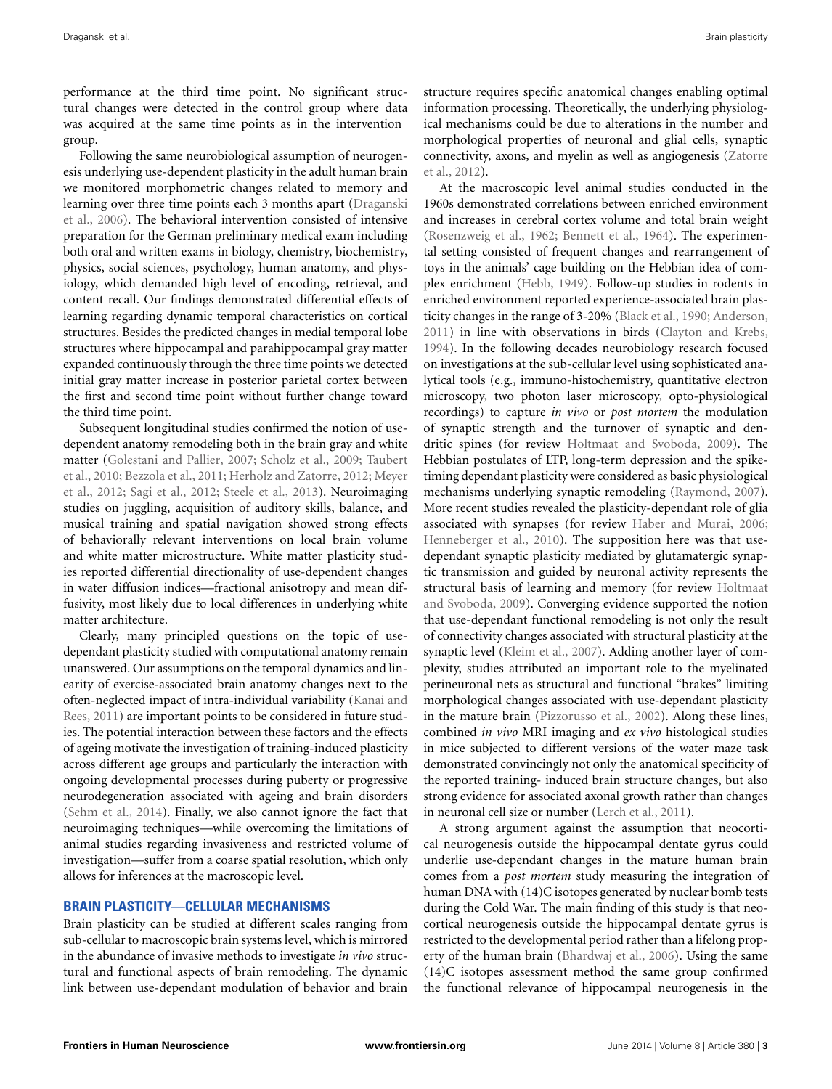performance at the third time point. No significant structural changes were detected in the control group where data was acquired at the same time points as in the intervention group.

Following the same neurobiological assumption of neurogenesis underlying use-dependent plasticity in the adult human brain we monitored morphometric changes related to memory and lear[ning over three time points each 3 months apart \(](#page-5-13)Draganski et al., [2006](#page-5-13)). The behavioral intervention consisted of intensive preparation for the German preliminary medical exam including both oral and written exams in biology, chemistry, biochemistry, physics, social sciences, psychology, human anatomy, and physiology, which demanded high level of encoding, retrieval, and content recall. Our findings demonstrated differential effects of learning regarding dynamic temporal characteristics on cortical structures. Besides the predicted changes in medial temporal lobe structures where hippocampal and parahippocampal gray matter expanded continuously through the three time points we detected initial gray matter increase in posterior parietal cortex between the first and second time point without further change toward the third time point.

Subsequent longitudinal studies confirmed the notion of usedependent anatomy remodeling both in the brain gray and white mat[ter](#page-6-11) [\(Golestani and Pallier, 2007](#page-5-14)[;](#page-6-11) [Scholz et al.](#page-6-10)[,](#page-6-11) [2009](#page-6-10)[;](#page-6-11) Taubert et al.[,](#page-6-12) [2010](#page-6-11)[;](#page-6-12) [Bezzola et al., 2011](#page-5-15)[;](#page-6-12) [Herholz and Zatorre](#page-5-16)[,](#page-6-12) [2012](#page-5-16)[;](#page-6-12) Meyer et al., [2012;](#page-6-12) [Sagi et al.](#page-6-13), [2012;](#page-6-13) [Steele et al.](#page-6-14), [2013\)](#page-6-14). Neuroimaging studies on juggling, acquisition of auditory skills, balance, and musical training and spatial navigation showed strong effects of behaviorally relevant interventions on local brain volume and white matter microstructure. White matter plasticity studies reported differential directionality of use-dependent changes in water diffusion indices—fractional anisotropy and mean diffusivity, most likely due to local differences in underlying white matter architecture.

Clearly, many principled questions on the topic of usedependant plasticity studied with computational anatomy remain unanswered. Our assumptions on the temporal dynamics and linearity of exercise-associated brain anatomy changes next to the ofte[n-neglected](#page-5-17) [impact](#page-5-17) [of](#page-5-17) [intra-individual](#page-5-17) [variability](#page-5-17) [\(](#page-5-17)Kanai and Rees, [2011](#page-5-17)) are important points to be considered in future studies. The potential interaction between these factors and the effects of ageing motivate the investigation of training-induced plasticity across different age groups and particularly the interaction with ongoing developmental processes during puberty or progressive neurodegeneration associated with ageing and brain disorders [\(Sehm et al.](#page-6-15), [2014](#page-6-15)). Finally, we also cannot ignore the fact that neuroimaging techniques—while overcoming the limitations of animal studies regarding invasiveness and restricted volume of investigation—suffer from a coarse spatial resolution, which only allows for inferences at the macroscopic level.

#### **BRAIN PLASTICITY—CELLULAR MECHANISMS**

Brain plasticity can be studied at different scales ranging from sub-cellular to macroscopic brain systems level, which is mirrored in the abundance of invasive methods to investigate *in vivo* structural and functional aspects of brain remodeling. The dynamic link between use-dependant modulation of behavior and brain

structure requires specific anatomical changes enabling optimal information processing. Theoretically, the underlying physiological mechanisms could be due to alterations in the number and morphological properties of neuronal and glial cells, synaptic con[nectivity, axons, and myelin as well as angiogenesis \(](#page-6-3)Zatorre et al., [2012\)](#page-6-3).

At the macroscopic level animal studies conducted in the 1960s demonstrated correlations between enriched environment and increases in cerebral cortex volume and total brain weight [\(Rosenzweig et al.](#page-6-1), [1962](#page-6-1); [Bennett et al., 1964\)](#page-5-18). The experimental setting consisted of frequent changes and rearrangement of toys in the animals' cage building on the Hebbian idea of complex enrichment [\(Hebb](#page-5-19), [1949\)](#page-5-19). Follow-up studies in rodents in enriched environment reported experience-associated brain plasticity changes in the range of 3-20% [\(Black et al., 1990](#page-5-20); [Anderson,](#page-5-21) [2011](#page-5-21)) in line with observations in birds [\(Clayton and Krebs,](#page-5-22) [1994](#page-5-22)). In the following decades neurobiology research focused on investigations at the sub-cellular level using sophisticated analytical tools (e.g., immuno-histochemistry, quantitative electron microscopy, two photon laser microscopy, opto-physiological recordings) to capture *in vivo* or *post mortem* the modulation of synaptic strength and the turnover of synaptic and dendritic spines (for review [Holtmaat and Svoboda, 2009](#page-5-0)). The Hebbian postulates of LTP, long-term depression and the spiketiming dependant plasticity were considered as basic physiological mechanisms underlying synaptic remodeling [\(Raymond](#page-6-16), [2007](#page-6-16)). More recent studies revealed the plasticity-dependant role of glia associated with synapses (for review [Haber and Murai, 2006;](#page-5-23) [Henneberger et al.](#page-5-24), [2010](#page-5-24)). The supposition here was that usedependant synaptic plasticity mediated by glutamatergic synaptic transmission and guided by neuronal activity represents the structural b[asis of learning and memory \(for review](#page-5-0) Holtmaat and Svoboda, [2009](#page-5-0)). Converging evidence supported the notion that use-dependant functional remodeling is not only the result of connectivity changes associated with structural plasticity at the synaptic level [\(Kleim et al.](#page-6-17), [2007\)](#page-6-17). Adding another layer of complexity, studies attributed an important role to the myelinated perineuronal nets as structural and functional "brakes" limiting morphological changes associated with use-dependant plasticity in the mature brain [\(Pizzorusso et al.](#page-6-18), [2002\)](#page-6-18). Along these lines, combined *in vivo* MRI imaging and *ex vivo* histological studies in mice subjected to different versions of the water maze task demonstrated convincingly not only the anatomical specificity of the reported training- induced brain structure changes, but also strong evidence for associated axonal growth rather than changes in neuronal cell size or number [\(Lerch et al.](#page-6-19), [2011](#page-6-19)).

A strong argument against the assumption that neocortical neurogenesis outside the hippocampal dentate gyrus could underlie use-dependant changes in the mature human brain comes from a *post mortem* study measuring the integration of human DNA with (14)C isotopes generated by nuclear bomb tests during the Cold War. The main finding of this study is that neocortical neurogenesis outside the hippocampal dentate gyrus is restricted to the developmental period rather than a lifelong property of the human brain [\(Bhardwaj et al.](#page-5-25), [2006\)](#page-5-25). Using the same (14)C isotopes assessment method the same group confirmed the functional relevance of hippocampal neurogenesis in the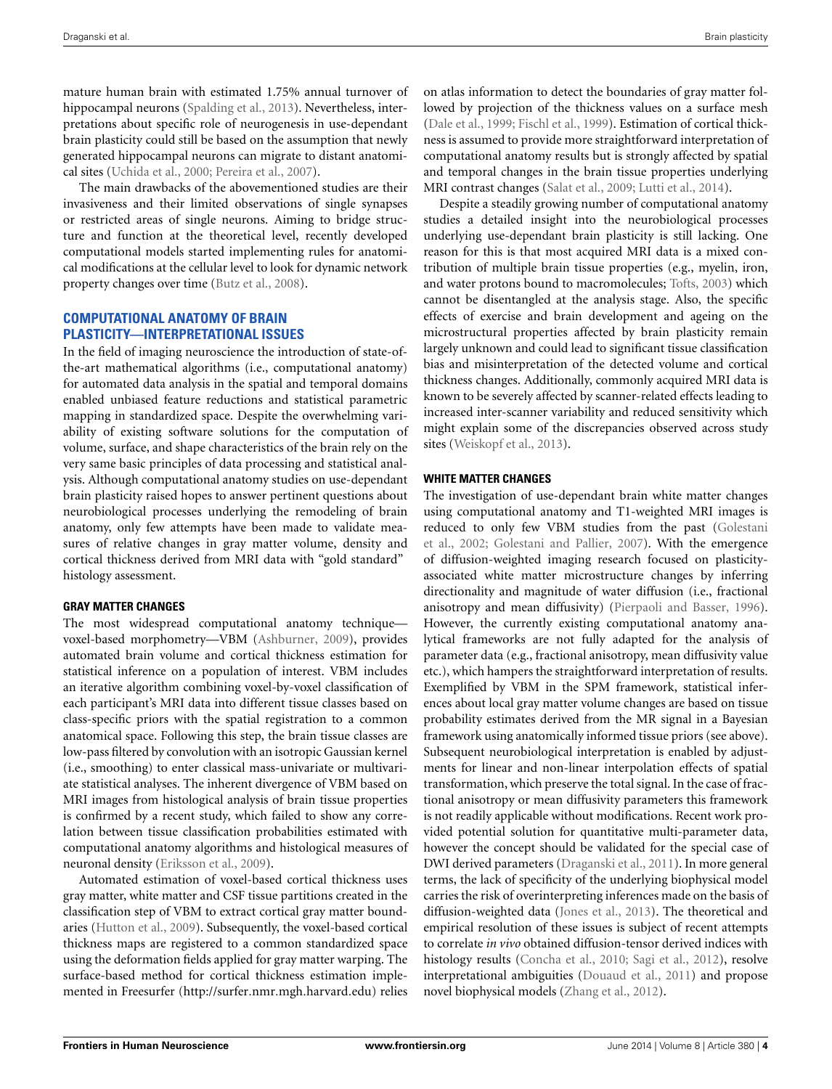mature human brain with estimated 1.75% annual turnover of hippocampal neurons [\(Spalding et al., 2013](#page-6-20)). Nevertheless, interpretations about specific role of neurogenesis in use-dependant brain plasticity could still be based on the assumption that newly generated hippocampal neurons can migrate to distant anatomical sites [\(Uchida et al.](#page-6-21), [2000;](#page-6-21) [Pereira et al., 2007\)](#page-6-22).

The main drawbacks of the abovementioned studies are their invasiveness and their limited observations of single synapses or restricted areas of single neurons. Aiming to bridge structure and function at the theoretical level, recently developed computational models started implementing rules for anatomical modifications at the cellular level to look for dynamic network property changes over time [\(Butz et al., 2008\)](#page-5-26).

# **COMPUTATIONAL ANATOMY OF BRAIN PLASTICITY—INTERPRETATIONAL ISSUES**

In the field of imaging neuroscience the introduction of state-ofthe-art mathematical algorithms (i.e., computational anatomy) for automated data analysis in the spatial and temporal domains enabled unbiased feature reductions and statistical parametric mapping in standardized space. Despite the overwhelming variability of existing software solutions for the computation of volume, surface, and shape characteristics of the brain rely on the very same basic principles of data processing and statistical analysis. Although computational anatomy studies on use-dependant brain plasticity raised hopes to answer pertinent questions about neurobiological processes underlying the remodeling of brain anatomy, only few attempts have been made to validate measures of relative changes in gray matter volume, density and cortical thickness derived from MRI data with "gold standard" histology assessment.

## **GRAY MATTER CHANGES**

The most widespread computational anatomy technique voxel-based morphometry—VBM [\(Ashburner](#page-5-27), [2009\)](#page-5-27), provides automated brain volume and cortical thickness estimation for statistical inference on a population of interest. VBM includes an iterative algorithm combining voxel-by-voxel classification of each participant's MRI data into different tissue classes based on class-specific priors with the spatial registration to a common anatomical space. Following this step, the brain tissue classes are low-pass filtered by convolution with an isotropic Gaussian kernel (i.e., smoothing) to enter classical mass-univariate or multivariate statistical analyses. The inherent divergence of VBM based on MRI images from histological analysis of brain tissue properties is confirmed by a recent study, which failed to show any correlation between tissue classification probabilities estimated with computational anatomy algorithms and histological measures of neuronal density [\(Eriksson et al., 2009](#page-5-28)).

Automated estimation of voxel-based cortical thickness uses gray matter, white matter and CSF tissue partitions created in the classification step of VBM to extract cortical gray matter boundaries [\(Hutton et al., 2009\)](#page-5-29). Subsequently, the voxel-based cortical thickness maps are registered to a common standardized space using the deformation fields applied for gray matter warping. The surface-based method for cortical thickness estimation implemented in Freesurfer [\(http://surfer](http://surfer.nmr.mgh.harvard.edu)*.*nmr*.*mgh*.*harvard*.*edu) relies

on atlas information to detect the boundaries of gray matter followed by projection of the thickness values on a surface mesh [\(Dale et al., 1999;](#page-5-30) [Fischl et al., 1999](#page-5-31)). Estimation of cortical thickness is assumed to provide more straightforward interpretation of computational anatomy results but is strongly affected by spatial and temporal changes in the brain tissue properties underlying MRI contrast changes [\(Salat et al., 2009;](#page-6-23) [Lutti et al., 2014](#page-6-24)).

Despite a steadily growing number of computational anatomy studies a detailed insight into the neurobiological processes underlying use-dependant brain plasticity is still lacking. One reason for this is that most acquired MRI data is a mixed contribution of multiple brain tissue properties (e.g., myelin, iron, and water protons bound to macromolecules; [Tofts, 2003\)](#page-6-25) which cannot be disentangled at the analysis stage. Also, the specific effects of exercise and brain development and ageing on the microstructural properties affected by brain plasticity remain largely unknown and could lead to significant tissue classification bias and misinterpretation of the detected volume and cortical thickness changes. Additionally, commonly acquired MRI data is known to be severely affected by scanner-related effects leading to increased inter-scanner variability and reduced sensitivity which might explain some of the discrepancies observed across study sites [\(Weiskopf et al.](#page-6-26), [2013\)](#page-6-26).

## **WHITE MATTER CHANGES**

The investigation of use-dependant brain white matter changes using computational anatomy and T1-weighted MRI images is redu[ced to only few VBM studies from the past \(](#page-5-32)Golestani et al., [2002](#page-5-32); [Golestani and Pallier, 2007](#page-5-14)). With the emergence of diffusion-weighted imaging research focused on plasticityassociated white matter microstructure changes by inferring directionality and magnitude of water diffusion (i.e., fractional anisotropy and mean diffusivity) [\(Pierpaoli and Basser, 1996\)](#page-6-27). However, the currently existing computational anatomy analytical frameworks are not fully adapted for the analysis of parameter data (e.g., fractional anisotropy, mean diffusivity value etc.), which hampers the straightforward interpretation of results. Exemplified by VBM in the SPM framework, statistical inferences about local gray matter volume changes are based on tissue probability estimates derived from the MR signal in a Bayesian framework using anatomically informed tissue priors (see above). Subsequent neurobiological interpretation is enabled by adjustments for linear and non-linear interpolation effects of spatial transformation, which preserve the total signal. In the case of fractional anisotropy or mean diffusivity parameters this framework is not readily applicable without modifications. Recent work provided potential solution for quantitative multi-parameter data, however the concept should be validated for the special case of DWI derived parameters [\(Draganski et al.](#page-5-33), [2011](#page-5-33)). In more general terms, the lack of specificity of the underlying biophysical model carries the risk of overinterpreting inferences made on the basis of diffusion-weighted data [\(Jones et al.](#page-5-34), [2013\)](#page-5-34). The theoretical and empirical resolution of these issues is subject of recent attempts to correlate *in vivo* obtained diffusion-tensor derived indices with histology results [\(Concha et al., 2010;](#page-5-35) [Sagi et al., 2012\)](#page-6-13), resolve interpretational ambiguities [\(Douaud et al., 2011\)](#page-5-36) and propose novel biophysical models [\(Zhang et al., 2012](#page-6-28)).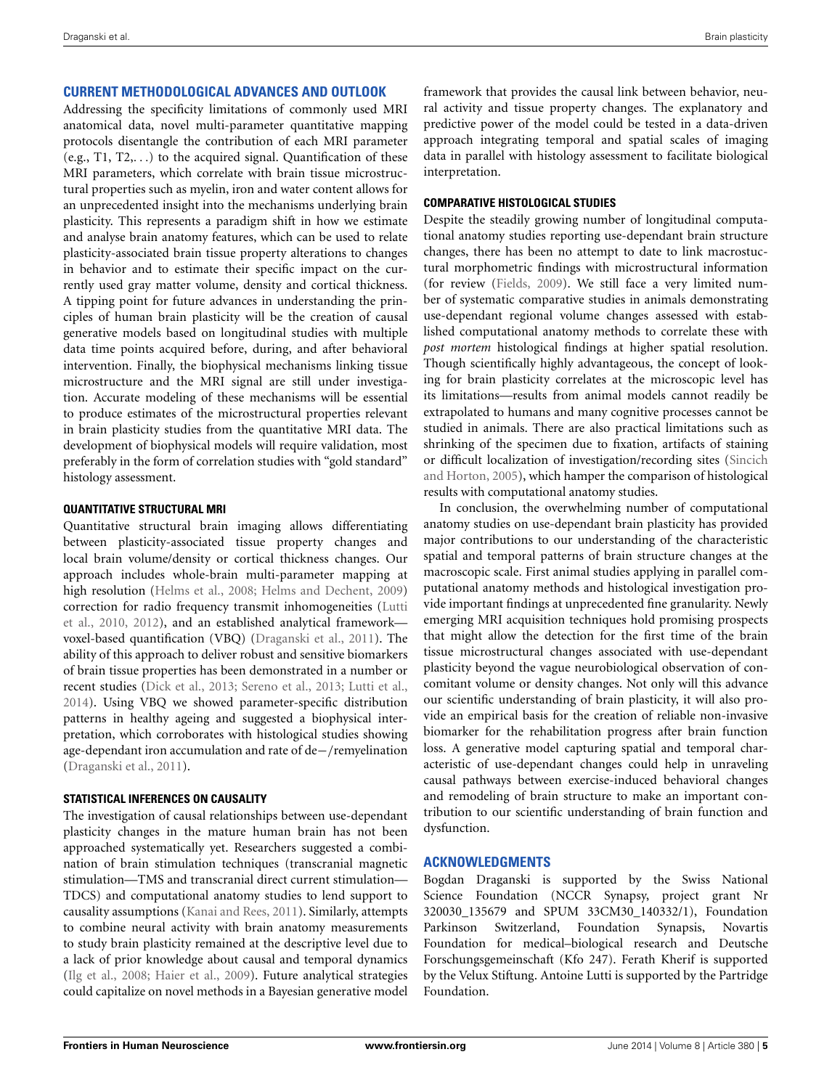# **CURRENT METHODOLOGICAL ADVANCES AND OUTLOOK**

Addressing the specificity limitations of commonly used MRI anatomical data, novel multi-parameter quantitative mapping protocols disentangle the contribution of each MRI parameter (e.g., T1, T2,*...*) to the acquired signal. Quantification of these MRI parameters, which correlate with brain tissue microstructural properties such as myelin, iron and water content allows for an unprecedented insight into the mechanisms underlying brain plasticity. This represents a paradigm shift in how we estimate and analyse brain anatomy features, which can be used to relate plasticity-associated brain tissue property alterations to changes in behavior and to estimate their specific impact on the currently used gray matter volume, density and cortical thickness. A tipping point for future advances in understanding the principles of human brain plasticity will be the creation of causal generative models based on longitudinal studies with multiple data time points acquired before, during, and after behavioral intervention. Finally, the biophysical mechanisms linking tissue microstructure and the MRI signal are still under investigation. Accurate modeling of these mechanisms will be essential to produce estimates of the microstructural properties relevant in brain plasticity studies from the quantitative MRI data. The development of biophysical models will require validation, most preferably in the form of correlation studies with "gold standard" histology assessment.

## **QUANTITATIVE STRUCTURAL MRI**

Quantitative structural brain imaging allows differentiating between plasticity-associated tissue property changes and local brain volume/density or cortical thickness changes. Our approach includes whole-brain multi-parameter mapping at high resolution [\(Helms et al., 2008;](#page-5-37) [Helms and Dechent, 2009](#page-5-38)) corre[ction](#page-6-29) [for](#page-6-29) [radio](#page-6-29) [frequency](#page-6-29) [transmit](#page-6-29) [inhomogeneities](#page-6-29) [\(](#page-6-29)Lutti et al., [2010](#page-6-29), [2012\)](#page-6-30), and an established analytical framework voxel-based quantification (VBQ) [\(Draganski et al.](#page-5-33), [2011\)](#page-5-33). The ability of this approach to deliver robust and sensitive biomarkers of brain tissue properties has been demonstrated in a number or recent studies [\(Dick et al.](#page-5-39), [2013;](#page-5-39) [Sereno et al., 2013](#page-6-31); [Lutti et al.,](#page-6-24) [2014](#page-6-24)). Using VBQ we showed parameter-specific distribution patterns in healthy ageing and suggested a biophysical interpretation, which corroborates with histological studies showing age-dependant iron accumulation and rate of de−*/*remyelination [\(Draganski et al., 2011](#page-5-33)).

## **STATISTICAL INFERENCES ON CAUSALITY**

The investigation of causal relationships between use-dependant plasticity changes in the mature human brain has not been approached systematically yet. Researchers suggested a combination of brain stimulation techniques (transcranial magnetic stimulation—TMS and transcranial direct current stimulation— TDCS) and computational anatomy studies to lend support to causality assumptions [\(Kanai and Rees, 2011](#page-5-17)). Similarly, attempts to combine neural activity with brain anatomy measurements to study brain plasticity remained at the descriptive level due to a lack of prior knowledge about causal and temporal dynamics [\(Ilg et al.](#page-5-40), [2008](#page-5-40); [Haier et al., 2009\)](#page-5-41). Future analytical strategies could capitalize on novel methods in a Bayesian generative model framework that provides the causal link between behavior, neural activity and tissue property changes. The explanatory and predictive power of the model could be tested in a data-driven approach integrating temporal and spatial scales of imaging data in parallel with histology assessment to facilitate biological interpretation.

## **COMPARATIVE HISTOLOGICAL STUDIES**

Despite the steadily growing number of longitudinal computational anatomy studies reporting use-dependant brain structure changes, there has been no attempt to date to link macrostuctural morphometric findings with microstructural information (for review [\(Fields, 2009\)](#page-5-42). We still face a very limited number of systematic comparative studies in animals demonstrating use-dependant regional volume changes assessed with established computational anatomy methods to correlate these with *post mortem* histological findings at higher spatial resolution. Though scientifically highly advantageous, the concept of looking for brain plasticity correlates at the microscopic level has its limitations—results from animal models cannot readily be extrapolated to humans and many cognitive processes cannot be studied in animals. There are also practical limitations such as shrinking of the specimen due to fixation, artifacts of staining or difficult [localization](#page-6-32) [of](#page-6-32) [investigation/recording](#page-6-32) [sites](#page-6-32) [\(](#page-6-32)Sincich and Horton, [2005\)](#page-6-32), which hamper the comparison of histological results with computational anatomy studies.

In conclusion, the overwhelming number of computational anatomy studies on use-dependant brain plasticity has provided major contributions to our understanding of the characteristic spatial and temporal patterns of brain structure changes at the macroscopic scale. First animal studies applying in parallel computational anatomy methods and histological investigation provide important findings at unprecedented fine granularity. Newly emerging MRI acquisition techniques hold promising prospects that might allow the detection for the first time of the brain tissue microstructural changes associated with use-dependant plasticity beyond the vague neurobiological observation of concomitant volume or density changes. Not only will this advance our scientific understanding of brain plasticity, it will also provide an empirical basis for the creation of reliable non-invasive biomarker for the rehabilitation progress after brain function loss. A generative model capturing spatial and temporal characteristic of use-dependant changes could help in unraveling causal pathways between exercise-induced behavioral changes and remodeling of brain structure to make an important contribution to our scientific understanding of brain function and dysfunction.

## **ACKNOWLEDGMENTS**

Bogdan Draganski is supported by the Swiss National Science Foundation (NCCR Synapsy, project grant Nr 320030\_135679 and SPUM 33CM30\_140332/1), Foundation Parkinson Switzerland, Foundation Synapsis, Novartis Foundation for medical–biological research and Deutsche Forschungsgemeinschaft (Kfo 247). Ferath Kherif is supported by the Velux Stiftung. Antoine Lutti is supported by the Partridge Foundation.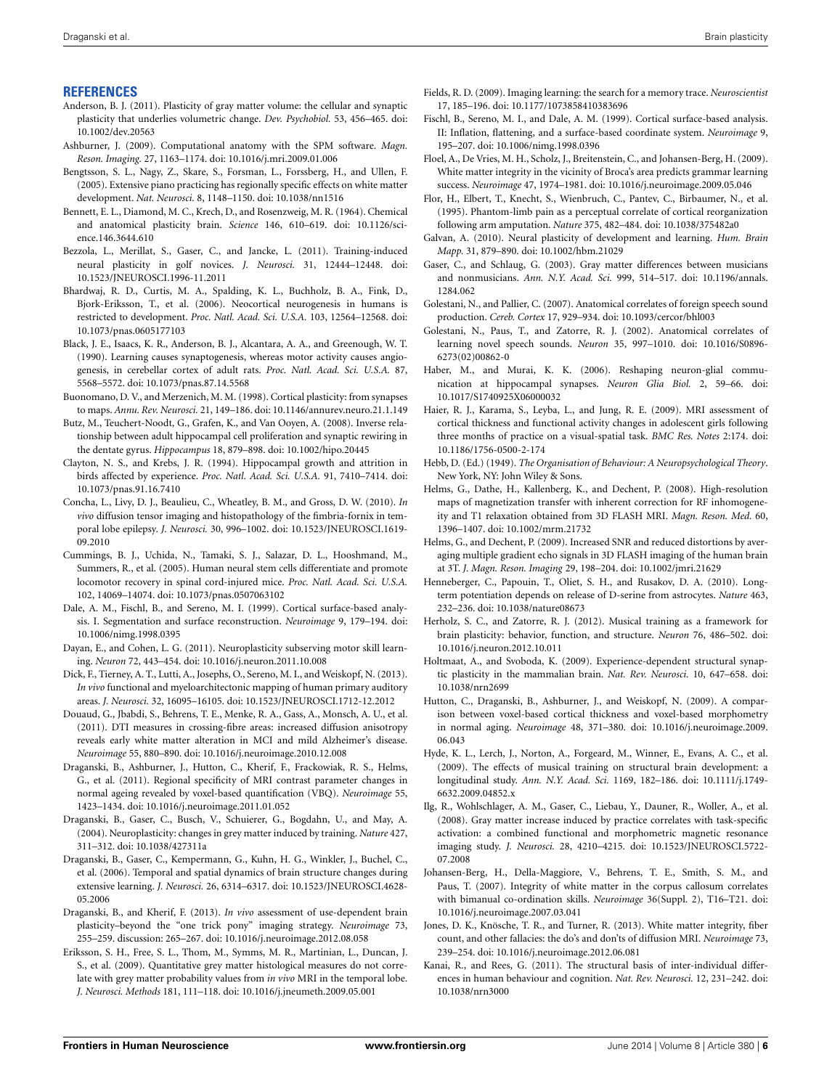## **REFERENCES**

- <span id="page-5-21"></span>Anderson, B. J. (2011). Plasticity of gray matter volume: the cellular and synaptic plasticity that underlies volumetric change. *Dev. Psychobiol.* 53, 456–465. doi: 10.1002/dev.20563
- <span id="page-5-27"></span>Ashburner, J. (2009). Computational anatomy with the SPM software. *Magn. Reson. Imaging.* 27, 1163–1174. doi: 10.1016/j.mri.2009.01.006
- <span id="page-5-8"></span>Bengtsson, S. L., Nagy, Z., Skare, S., Forsman, L., Forssberg, H., and Ullen, F. (2005). Extensive piano practicing has regionally specific effects on white matter development. *Nat. Neurosci.* 8, 1148–1150. doi: 10.1038/nn1516
- <span id="page-5-18"></span>Bennett, E. L., Diamond, M. C., Krech, D., and Rosenzweig, M. R. (1964). Chemical and anatomical plasticity brain. *Science* 146, 610–619. doi: 10.1126/science.146.3644.610
- <span id="page-5-15"></span>Bezzola, L., Merillat, S., Gaser, C., and Jancke, L. (2011). Training-induced neural plasticity in golf novices. *J. Neurosci.* 31, 12444–12448. doi: 10.1523/JNEUROSCI.1996-11.2011
- <span id="page-5-25"></span>Bhardwaj, R. D., Curtis, M. A., Spalding, K. L., Buchholz, B. A., Fink, D., Bjork-Eriksson, T., et al. (2006). Neocortical neurogenesis in humans is restricted to development. *Proc. Natl. Acad. Sci. U.S.A.* 103, 12564–12568. doi: 10.1073/pnas.0605177103
- <span id="page-5-20"></span>Black, J. E., Isaacs, K. R., Anderson, B. J., Alcantara, A. A., and Greenough, W. T. (1990). Learning causes synaptogenesis, whereas motor activity causes angiogenesis, in cerebellar cortex of adult rats. *Proc. Natl. Acad. Sci. U.S.A.* 87, 5568–5572. doi: 10.1073/pnas.87.14.5568
- <span id="page-5-2"></span>Buonomano, D. V., and Merzenich, M. M. (1998). Cortical plasticity: from synapses to maps. *Annu. Rev. Neurosci.* 21, 149–186. doi: 10.1146/annurev.neuro.21.1.149
- <span id="page-5-26"></span>Butz, M., Teuchert-Noodt, G., Grafen, K., and Van Ooyen, A. (2008). Inverse relationship between adult hippocampal cell proliferation and synaptic rewiring in the dentate gyrus. *Hippocampus* 18, 879–898. doi: 10.1002/hipo.20445
- <span id="page-5-22"></span>Clayton, N. S., and Krebs, J. R. (1994). Hippocampal growth and attrition in birds affected by experience. *Proc. Natl. Acad. Sci. U.S.A.* 91, 7410–7414. doi: 10.1073/pnas.91.16.7410
- <span id="page-5-35"></span>Concha, L., Livy, D. J., Beaulieu, C., Wheatley, B. M., and Gross, D. W. (2010). *In vivo* diffusion tensor imaging and histopathology of the fimbria-fornix in temporal lobe epilepsy. *J. Neurosci.* 30, 996–1002. doi: 10.1523/JNEUROSCI.1619- 09.2010
- <span id="page-5-12"></span>Cummings, B. J., Uchida, N., Tamaki, S. J., Salazar, D. L., Hooshmand, M., Summers, R., et al. (2005). Human neural stem cells differentiate and promote locomotor recovery in spinal cord-injured mice. *Proc. Natl. Acad. Sci. U.S.A.* 102, 14069–14074. doi: 10.1073/pnas.0507063102
- <span id="page-5-30"></span>Dale, A. M., Fischl, B., and Sereno, M. I. (1999). Cortical surface-based analysis. I. Segmentation and surface reconstruction. *Neuroimage* 9, 179–194. doi: 10.1006/nimg.1998.0395
- <span id="page-5-3"></span>Dayan, E., and Cohen, L. G. (2011). Neuroplasticity subserving motor skill learning. *Neuron* 72, 443–454. doi: 10.1016/j.neuron.2011.10.008
- <span id="page-5-39"></span>Dick, F., Tierney, A. T., Lutti, A., Josephs, O., Sereno, M. I., and Weiskopf, N. (2013). *In vivo* functional and myeloarchitectonic mapping of human primary auditory areas. *J. Neurosci.* 32, 16095–16105. doi: 10.1523/JNEUROSCI.1712-12.2012
- <span id="page-5-36"></span>Douaud, G., Jbabdi, S., Behrens, T. E., Menke, R. A., Gass, A., Monsch, A. U., et al. (2011). DTI measures in crossing-fibre areas: increased diffusion anisotropy reveals early white matter alteration in MCI and mild Alzheimer's disease. *Neuroimage* 55, 880–890. doi: 10.1016/j.neuroimage.2010.12.008
- <span id="page-5-33"></span>Draganski, B., Ashburner, J., Hutton, C., Kherif, F., Frackowiak, R. S., Helms, G., et al. (2011). Regional specificity of MRI contrast parameter changes in normal ageing revealed by voxel-based quantification (VBQ). *Neuroimage* 55, 1423–1434. doi: 10.1016/j.neuroimage.2011.01.052
- <span id="page-5-11"></span>Draganski, B., Gaser, C., Busch, V., Schuierer, G., Bogdahn, U., and May, A. (2004). Neuroplasticity: changes in grey matter induced by training. *Nature* 427, 311–312. doi: 10.1038/427311a
- <span id="page-5-13"></span>Draganski, B., Gaser, C., Kempermann, G., Kuhn, H. G., Winkler, J., Buchel, C., et al. (2006). Temporal and spatial dynamics of brain structure changes during extensive learning. *J. Neurosci.* 26, 6314–6317. doi: 10.1523/JNEUROSCI.4628- 05.2006
- <span id="page-5-5"></span>Draganski, B., and Kherif, F. (2013). *In vivo* assessment of use-dependent brain plasticity–beyond the "one trick pony" imaging strategy. *Neuroimage* 73, 255–259. discussion: 265–267. doi: 10.1016/j.neuroimage.2012.08.058
- <span id="page-5-28"></span>Eriksson, S. H., Free, S. L., Thom, M., Symms, M. R., Martinian, L., Duncan, J. S., et al. (2009). Quantitative grey matter histological measures do not correlate with grey matter probability values from *in vivo* MRI in the temporal lobe. *J. Neurosci. Methods* 181, 111–118. doi: 10.1016/j.jneumeth.2009.05.001
- <span id="page-5-42"></span>Fields, R. D. (2009). Imaging learning: the search for a memory trace. *Neuroscientist* 17, 185–196. doi: 10.1177/1073858410383696
- <span id="page-5-31"></span>Fischl, B., Sereno, M. I., and Dale, A. M. (1999). Cortical surface-based analysis. II: Inflation, flattening, and a surface-based coordinate system. *Neuroimage* 9, 195–207. doi: 10.1006/nimg.1998.0396
- <span id="page-5-10"></span>Floel, A., De Vries, M. H., Scholz, J., Breitenstein, C., and Johansen-Berg, H. (2009). White matter integrity in the vicinity of Broca's area predicts grammar learning success. *Neuroimage* 47, 1974–1981. doi: 10.1016/j.neuroimage.2009.05.046
- <span id="page-5-1"></span>Flor, H., Elbert, T., Knecht, S., Wienbruch, C., Pantev, C., Birbaumer, N., et al. (1995). Phantom-limb pain as a perceptual correlate of cortical reorganization following arm amputation. *Nature* 375, 482–484. doi: 10.1038/375482a0
- <span id="page-5-4"></span>Galvan, A. (2010). Neural plasticity of development and learning. *Hum. Brain Mapp.* 31, 879–890. doi: 10.1002/hbm.21029
- <span id="page-5-6"></span>Gaser, C., and Schlaug, G. (2003). Gray matter differences between musicians and nonmusicians. *Ann. N.Y. Acad. Sci.* 999, 514–517. doi: 10.1196/annals. 1284.062
- <span id="page-5-14"></span>Golestani, N., and Pallier, C. (2007). Anatomical correlates of foreign speech sound production. *Cereb. Cortex* 17, 929–934. doi: 10.1093/cercor/bhl003
- <span id="page-5-32"></span>Golestani, N., Paus, T., and Zatorre, R. J. (2002). Anatomical correlates of learning novel speech sounds. *Neuron* 35, 997–1010. doi: 10.1016/S0896- 6273(02)00862-0
- <span id="page-5-23"></span>Haber, M., and Murai, K. K. (2006). Reshaping neuron-glial communication at hippocampal synapses. *Neuron Glia Biol.* 2, 59–66. doi: 10.1017/S1740925X06000032
- <span id="page-5-41"></span>Haier, R. J., Karama, S., Leyba, L., and Jung, R. E. (2009). MRI assessment of cortical thickness and functional activity changes in adolescent girls following three months of practice on a visual-spatial task. *BMC Res. Notes* 2:174. doi: 10.1186/1756-0500-2-174
- <span id="page-5-19"></span>Hebb, D. (Ed.) (1949). *The Organisation of Behaviour: A Neuropsychological Theory*. New York, NY: John Wiley & Sons.
- <span id="page-5-37"></span>Helms, G., Dathe, H., Kallenberg, K., and Dechent, P. (2008). High-resolution maps of magnetization transfer with inherent correction for RF inhomogeneity and T1 relaxation obtained from 3D FLASH MRI. *Magn. Reson. Med.* 60, 1396–1407. doi: 10.1002/mrm.21732
- <span id="page-5-38"></span>Helms, G., and Dechent, P. (2009). Increased SNR and reduced distortions by averaging multiple gradient echo signals in 3D FLASH imaging of the human brain at 3T. *J. Magn. Reson. Imaging* 29, 198–204. doi: 10.1002/jmri.21629
- <span id="page-5-24"></span>Henneberger, C., Papouin, T., Oliet, S. H., and Rusakov, D. A. (2010). Longterm potentiation depends on release of D-serine from astrocytes. *Nature* 463, 232–236. doi: 10.1038/nature08673
- <span id="page-5-16"></span>Herholz, S. C., and Zatorre, R. J. (2012). Musical training as a framework for brain plasticity: behavior, function, and structure. *Neuron* 76, 486–502. doi: 10.1016/j.neuron.2012.10.011
- <span id="page-5-0"></span>Holtmaat, A., and Svoboda, K. (2009). Experience-dependent structural synaptic plasticity in the mammalian brain. *Nat. Rev. Neurosci.* 10, 647–658. doi: 10.1038/nrn2699
- <span id="page-5-29"></span>Hutton, C., Draganski, B., Ashburner, J., and Weiskopf, N. (2009). A comparison between voxel-based cortical thickness and voxel-based morphometry in normal aging. *Neuroimage* 48, 371–380. doi: 10.1016/j.neuroimage.2009. 06.043
- <span id="page-5-7"></span>Hyde, K. L., Lerch, J., Norton, A., Forgeard, M., Winner, E., Evans, A. C., et al. (2009). The effects of musical training on structural brain development: a longitudinal study. *Ann. N.Y. Acad. Sci.* 1169, 182–186. doi: 10.1111/j.1749- 6632.2009.04852.x
- <span id="page-5-40"></span>Ilg, R., Wohlschlager, A. M., Gaser, C., Liebau, Y., Dauner, R., Woller, A., et al. (2008). Gray matter increase induced by practice correlates with task-specific activation: a combined functional and morphometric magnetic resonance imaging study. *J. Neurosci.* 28, 4210–4215. doi: 10.1523/JNEUROSCI.5722- 07.2008
- <span id="page-5-9"></span>Johansen-Berg, H., Della-Maggiore, V., Behrens, T. E., Smith, S. M., and Paus, T. (2007). Integrity of white matter in the corpus callosum correlates with bimanual co-ordination skills. *Neuroimage* 36(Suppl. 2), T16–T21. doi: 10.1016/j.neuroimage.2007.03.041
- <span id="page-5-34"></span>Jones, D. K., Knösche, T. R., and Turner, R. (2013). White matter integrity, fiber count, and other fallacies: the do's and don'ts of diffusion MRI. *Neuroimage* 73, 239–254. doi: 10.1016/j.neuroimage.2012.06.081
- <span id="page-5-17"></span>Kanai, R., and Rees, G. (2011). The structural basis of inter-individual differences in human behaviour and cognition. *Nat. Rev. Neurosci.* 12, 231–242. doi: 10.1038/nrn3000